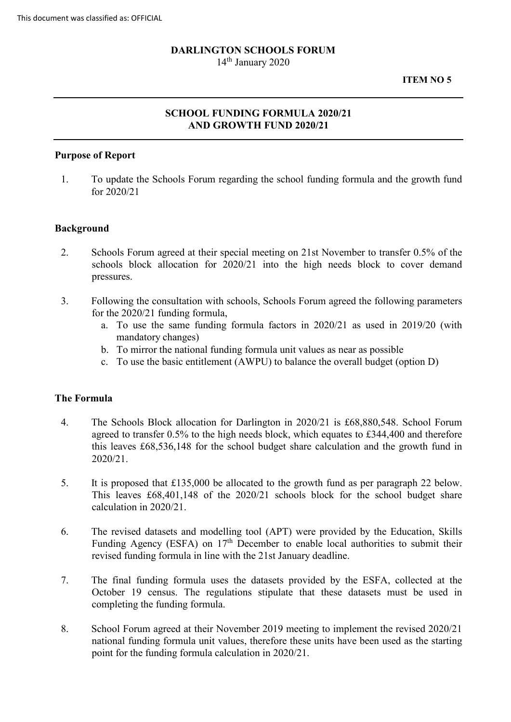# **DARLINGTON SCHOOLS FORUM**

14<sup>th</sup> January 2020

**ITEM NO 5** 

# **SCHOOL FUNDING FORMULA 2020/21 AND GROWTH FUND 2020/21**

# **Purpose of Report**

1. To update the Schools Forum regarding the school funding formula and the growth fund for 2020/21

#### **Background**

- 2. Schools Forum agreed at their special meeting on 21st November to transfer 0.5% of the schools block allocation for 2020/21 into the high needs block to cover demand pressures.
- for the 2020/21 funding formula, 3. Following the consultation with schools, Schools Forum agreed the following parameters
	- a. To use the same funding formula factors in 2020/21 as used in 2019/20 (with mandatory changes)
	- b. To mirror the national funding formula unit values as near as possible
	- c. To use the basic entitlement (AWPU) to balance the overall budget (option D)

#### **The Formula**

- agreed to transfer 0.5% to the high needs block, which equates to £344,400 and therefore 4. The Schools Block allocation for Darlington in 2020/21 is £68,880,548. School Forum this leaves £68,536,148 for the school budget share calculation and the growth fund in 2020/21.
- 5. It is proposed that £135,000 be allocated to the growth fund as per paragraph 22 below. This leaves £68,401,148 of the 2020/21 schools block for the school budget share calculation in 2020/21.
- Funding Agency (ESFA) on  $17<sup>th</sup>$  December to enable local authorities to submit their revised funding formula in line with the 21st January deadline. 6. The revised datasets and modelling tool (APT) were provided by the Education, Skills
- October 19 census. The regulations stipulate that these datasets must be used in 7. The final funding formula uses the datasets provided by the ESFA, collected at the completing the funding formula.
- 8. School Forum agreed at their November 2019 meeting to implement the revised 2020/21 national funding formula unit values, therefore these units have been used as the starting point for the funding formula calculation in 2020/21.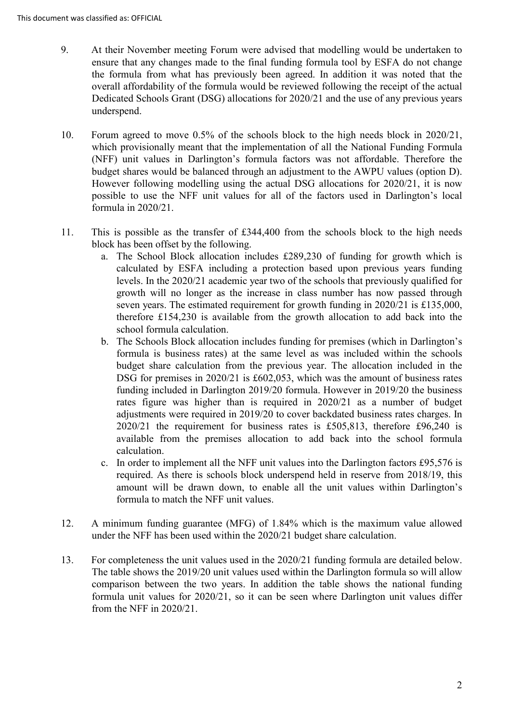- ensure that any changes made to the final funding formula tool by ESFA do not change the formula from what has previously been agreed. In addition it was noted that the overall affordability of the formula would be reviewed following the receipt of the actual Dedicated Schools Grant (DSG) allocations for 2020/21 and the use of any previous years 9. At their November meeting Forum were advised that modelling would be undertaken to underspend.
- Forum agreed to move 0.5% of the schools block to the high needs block in 2020/21, which provisionally meant that the implementation of all the National Funding Formula budget shares would be balanced through an adjustment to the AWPU values (option D). However following modelling using the actual DSG allocations for 2020/21, it is now 10. (NFF) unit values in Darlington's formula factors was not affordable. Therefore the possible to use the NFF unit values for all of the factors used in Darlington's local formula in 2020/21.
- This is possible as the transfer of £344,400 from the schools block to the high needs 11. block has been offset by the following.
	- calculated by ESFA including a protection based upon previous years funding growth will no longer as the increase in class number has now passed through a. The School Block allocation includes £289,230 of funding for growth which is levels. In the 2020/21 academic year two of the schools that previously qualified for seven years. The estimated requirement for growth funding in 2020/21 is £135,000, therefore £154,230 is available from the growth allocation to add back into the school formula calculation.
	- formula is business rates) at the same level as was included within the schools DSG for premises in 2020/21 is £602,053, which was the amount of business rates rates figure was higher than is required in 2020/21 as a number of budget b. The Schools Block allocation includes funding for premises (which in Darlington's budget share calculation from the previous year. The allocation included in the funding included in Darlington 2019/20 formula. However in 2019/20 the business adjustments were required in 2019/20 to cover backdated business rates charges. In 2020/21 the requirement for business rates is £505,813, therefore £96,240 is available from the premises allocation to add back into the school formula calculation.
	- c. In order to implement all the NFF unit values into the Darlington factors £95,576 is required. As there is schools block underspend held in reserve from 2018/19, this amount will be drawn down, to enable all the unit values within Darlington's formula to match the NFF unit values.
- 12. A minimum funding guarantee (MFG) of 1.84% which is the maximum value allowed under the NFF has been used within the 2020/21 budget share calculation.
- formula unit values for 2020/21, so it can be seen where Darlington unit values differ 13. For completeness the unit values used in the 2020/21 funding formula are detailed below. The table shows the 2019/20 unit values used within the Darlington formula so will allow comparison between the two years. In addition the table shows the national funding from the NFF in 2020/21.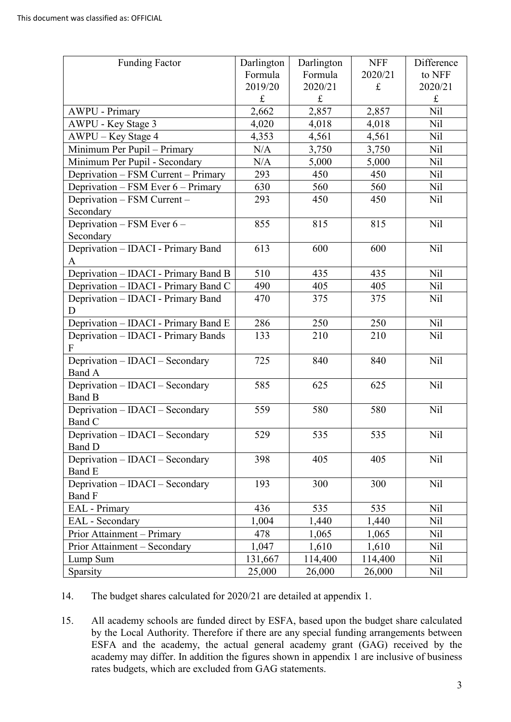| <b>Funding Factor</b>                | Darlington | Darlington  | <b>NFF</b>  | Difference      |
|--------------------------------------|------------|-------------|-------------|-----------------|
|                                      | Formula    | Formula     | 2020/21     | to NFF          |
|                                      | 2019/20    | 2020/21     | $\mathbf f$ | 2020/21         |
|                                      | $\pounds$  | $\mathbf f$ |             | $\pounds$       |
| <b>AWPU - Primary</b>                | 2,662      | 2,857       | 2,857       | Nil             |
| AWPU - Key Stage 3                   | 4,020      | 4,018       | 4,018       | N <sub>il</sub> |
| AWPU – Key Stage 4                   | 4,353      | 4,561       | 4,561       | Nil             |
| Minimum Per Pupil - Primary          | N/A        | 3,750       | 3,750       | Nil             |
| Minimum Per Pupil - Secondary        | N/A        | 5,000       | 5,000       | Nil             |
| Deprivation - FSM Current - Primary  | 293        | 450         | 450         | Nil             |
| Deprivation – FSM Ever 6 – Primary   | 630        | 560         | 560         | Nil             |
| Deprivation - FSM Current -          | 293        | 450         | 450         | Nil             |
| Secondary                            |            |             |             |                 |
| Deprivation - FSM Ever 6 -           | 855        | 815         | 815         | Nil             |
| Secondary                            |            |             |             |                 |
| Deprivation - IDACI - Primary Band   | 613        | 600         | 600         | Nil             |
| A                                    |            |             |             |                 |
| Deprivation - IDACI - Primary Band B | 510        | 435         | 435         | Nil             |
| Deprivation - IDACI - Primary Band C | 490        | 405         | 405         | Nil             |
| Deprivation - IDACI - Primary Band   | 470        | 375         | 375         | Nil             |
| D                                    |            |             |             |                 |
| Deprivation - IDACI - Primary Band E | 286        | 250         | 250         | <b>Nil</b>      |
| Deprivation - IDACI - Primary Bands  | 133        | 210         | 210         | Nil             |
| F                                    |            |             |             |                 |
| Deprivation - IDACI - Secondary      | 725        | 840         | 840         | Nil             |
| Band A                               |            |             |             |                 |
| Deprivation - IDACI - Secondary      | 585        | 625         | 625         | Nil             |
| Band B                               |            |             |             |                 |
| Deprivation - IDACI - Secondary      | 559        | 580         | 580         | Nil             |
| Band C                               |            |             |             |                 |
| Deprivation - IDACI - Secondary      | 529        | 535         | 535         | Nil             |
| Band D                               |            |             |             |                 |
| Deprivation - IDACI - Secondary      | 398        | 405         | 405         | Nil             |
| Band E                               |            |             |             |                 |
| Deprivation - IDACI - Secondary      | 193        | 300         | 300         | Nil             |
| Band F                               |            |             |             |                 |
| <b>EAL</b> - Primary                 | 436        | 535         | 535         | Nil             |
| EAL - Secondary                      | 1,004      | 1,440       | 1,440       | Nil             |
| Prior Attainment – Primary           | 478        | 1,065       | 1,065       | Nil             |
| Prior Attainment – Secondary         | 1,047      | 1,610       | 1,610       | Nil             |
| Lump Sum                             | 131,667    | 114,400     | 114,400     | Nil             |
| Sparsity                             | 25,000     | 26,000      | 26,000      | Nil             |

14. The budget shares calculated for 2020/21 are detailed at appendix 1.

 by the Local Authority. Therefore if there are any special funding arrangements between academy may differ. In addition the figures shown in appendix 1 are inclusive of business 15. All academy schools are funded direct by ESFA, based upon the budget share calculated ESFA and the academy, the actual general academy grant (GAG) received by the rates budgets, which are excluded from GAG statements.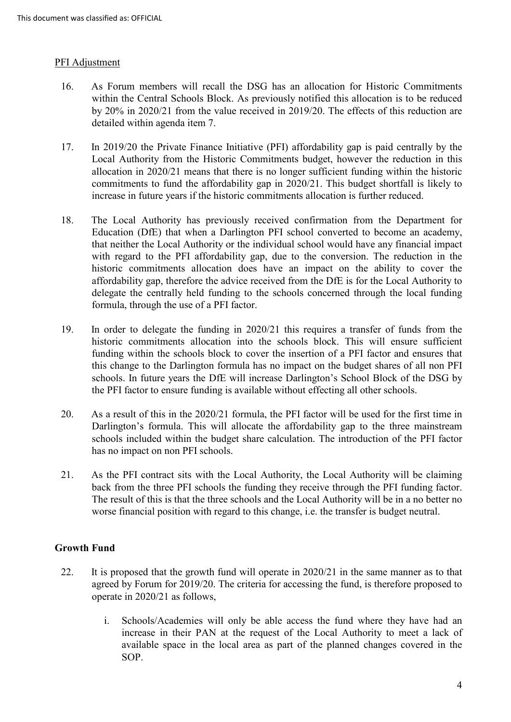### PFI Adjustment

- 16. As Forum members will recall the DSG has an allocation for Historic Commitments within the Central Schools Block. As previously notified this allocation is to be reduced by 20% in 2020/21 from the value received in 2019/20. The effects of this reduction are detailed within agenda item 7.
- 17. In 2019/20 the Private Finance Initiative (PFI) affordability gap is paid centrally by the Local Authority from the Historic Commitments budget, however the reduction in this allocation in 2020/21 means that there is no longer sufficient funding within the historic commitments to fund the affordability gap in 2020/21. This budget shortfall is likely to increase in future years if the historic commitments allocation is further reduced.
- Education (DfE) that when a Darlington PFI school converted to become an academy, historic commitments allocation does have an impact on the ability to cover the delegate the centrally held funding to the schools concerned through the local funding 18. The Local Authority has previously received confirmation from the Department for that neither the Local Authority or the individual school would have any financial impact with regard to the PFI affordability gap, due to the conversion. The reduction in the affordability gap, therefore the advice received from the DfE is for the Local Authority to formula, through the use of a PFI factor.
- 19. In order to delegate the funding in 2020/21 this requires a transfer of funds from the funding within the schools block to cover the insertion of a PFI factor and ensures that this change to the Darlington formula has no impact on the budget shares of all non PFI schools. In future years the DfE will increase Darlington's School Block of the DSG by historic commitments allocation into the schools block. This will ensure sufficient the PFI factor to ensure funding is available without effecting all other schools.
- 20. As a result of this in the 2020/21 formula, the PFI factor will be used for the first time in Darlington's formula. This will allocate the affordability gap to the three mainstream schools included within the budget share calculation. The introduction of the PFI factor has no impact on non PFI schools.
- back from the three PFI schools the funding they receive through the PFI funding factor. The result of this is that the three schools and the Local Authority will be in a no better no worse financial position with regard to this change, i.e. the transfer is budget neutral. 21. As the PFI contract sits with the Local Authority, the Local Authority will be claiming

# **Growth Fund**

- operate in 2020/21 as follows, 22. It is proposed that the growth fund will operate in 2020/21 in the same manner as to that agreed by Forum for 2019/20. The criteria for accessing the fund, is therefore proposed to
	- i. Schools/Academies will only be able access the fund where they have had an increase in their PAN at the request of the Local Authority to meet a lack of available space in the local area as part of the planned changes covered in the SOP.